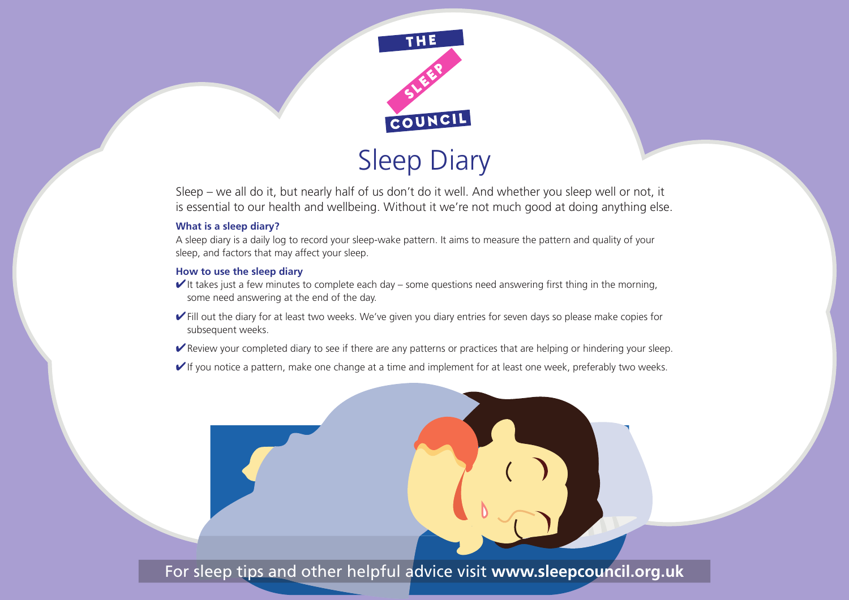

Sleep – we all do it, but nearly half of us don't do it well. And whether you sleep well or not, it is essential to our health and wellbeing. Without it we're not much good at doing anything else.

## **What is a sleep diary?**

A sleep diary is a daily log to record your sleep-wake pattern. It aims to measure the pattern and quality of your sleep, and factors that may affect your sleep.

## **How to use the sleep diary**

- $\blacktriangleright$ It takes just a few minutes to complete each day some questions need answering first thing in the morning, some need answering at the end of the day.
- ✔Fill out the diary for at least two weeks. We've given you diary entries for seven days so please make copies for subsequent weeks.
- ✔Review your completed diary to see if there are any patterns or practices that are helping or hindering your sleep.
- $\blacktriangledown$ If you notice a pattern, make one change at a time and implement for at least one week, preferably two weeks.

For sleep tips and other helpful advice visit **www.sleepcouncil.org.uk**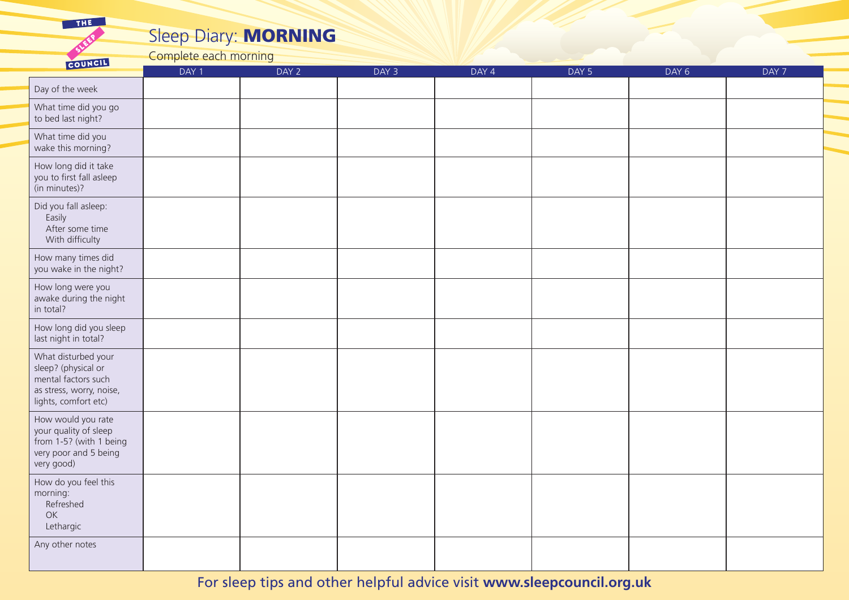## Sleep Diary: MORNING

Complete each morning

THE

 $\sim$  mycH

| COUNTY                                                                                                                | DAY 1 | DAY 2 | DAY 3 | DAY 4 | DAY 5 | DAY 6 | DAY 7 |
|-----------------------------------------------------------------------------------------------------------------------|-------|-------|-------|-------|-------|-------|-------|
| Day of the week                                                                                                       |       |       |       |       |       |       |       |
| What time did you go<br>to bed last night?                                                                            |       |       |       |       |       |       |       |
| What time did you<br>wake this morning?                                                                               |       |       |       |       |       |       |       |
| How long did it take<br>you to first fall asleep<br>(in minutes)?                                                     |       |       |       |       |       |       |       |
| Did you fall asleep:<br>Easily<br>After some time<br>With difficulty                                                  |       |       |       |       |       |       |       |
| How many times did<br>you wake in the night?                                                                          |       |       |       |       |       |       |       |
| How long were you<br>awake during the night<br>in total?                                                              |       |       |       |       |       |       |       |
| How long did you sleep<br>last night in total?                                                                        |       |       |       |       |       |       |       |
| What disturbed your<br>sleep? (physical or<br>mental factors such<br>as stress, worry, noise,<br>lights, comfort etc) |       |       |       |       |       |       |       |
| How would you rate<br>your quality of sleep<br>from 1-5? (with 1 being<br>very poor and 5 being<br>very good)         |       |       |       |       |       |       |       |
| How do you feel this<br>morning:<br>Refreshed<br>OK<br>Lethargic                                                      |       |       |       |       |       |       |       |
| Any other notes                                                                                                       |       |       |       |       |       |       |       |

For sleep tips and other helpful advice visit **www.sleepcouncil.org.uk**